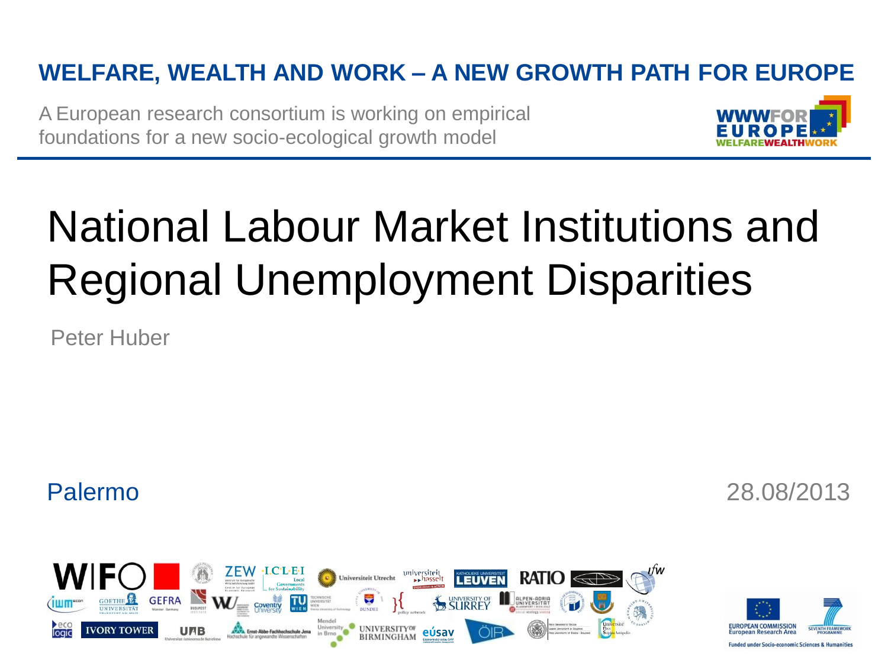### **WELFARE, WEALTH AND WORK – A NEW GROWTH PATH FOR EUROPE**

A European research consortium is working on empirical foundations for a new socio-ecological growth model



# National Labour Market Institutions and Regional Unemployment Disparities

Peter Huber

Palermo 28.08/2013



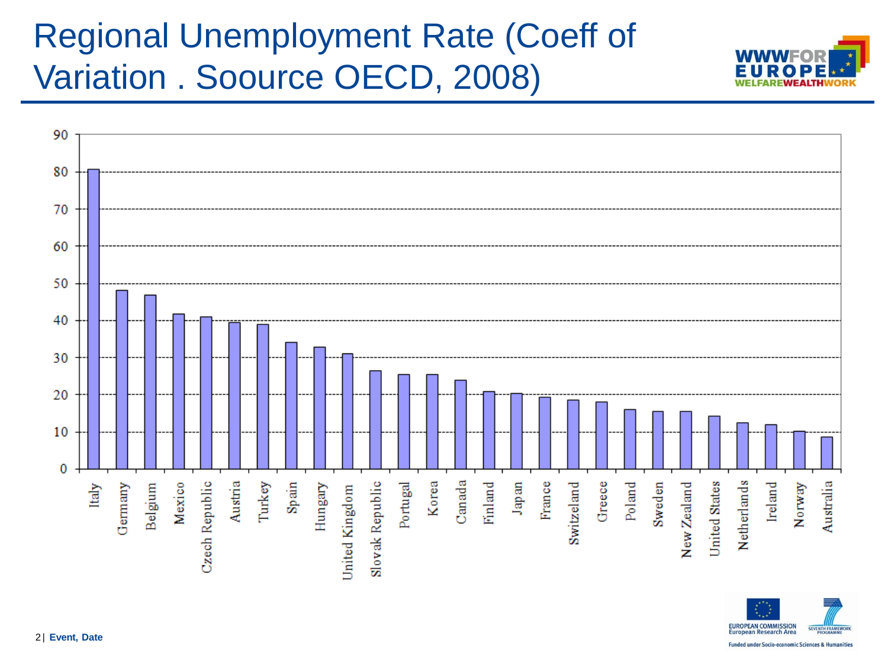### Regional Unemployment Rate (Coeff of Variation . Soource OECD, 2008)





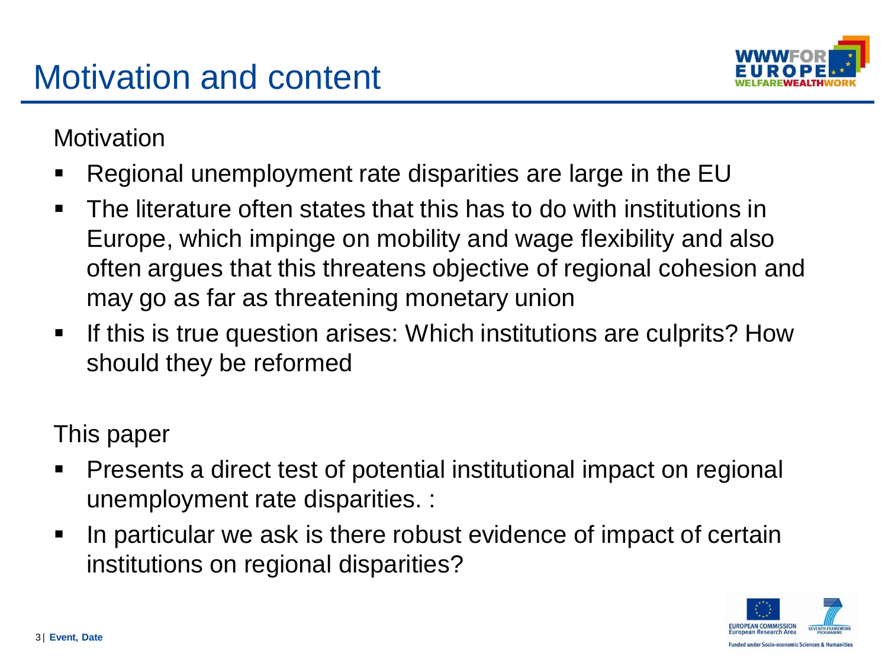

**Motivation** 

- Regional unemployment rate disparities are large in the EU
- The literature often states that this has to do with institutions in Europe, which impinge on mobility and wage flexibility and also often argues that this threatens objective of regional cohesion and may go as far as threatening monetary union
- If this is true question arises: Which institutions are culprits? How should they be reformed

This paper

- Presents a direct test of potential institutional impact on regional unemployment rate disparities. :
- I In particular we ask is there robust evidence of impact of certain institutions on regional disparities?

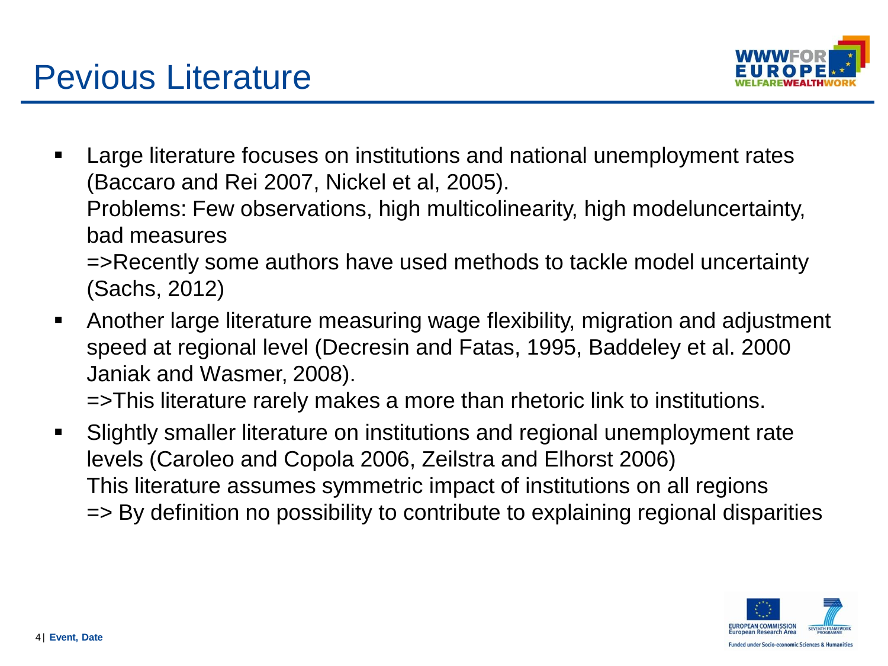

- Large literature focuses on institutions and national unemployment rates (Baccaro and Rei 2007, Nickel et al, 2005). Problems: Few observations, high multicolinearity, high modeluncertainty, bad measures =>Recently some authors have used methods to tackle model uncertainty
	- (Sachs, 2012)
- Another large literature measuring wage flexibility, migration and adjustment speed at regional level (Decresin and Fatas, 1995, Baddeley et al. 2000 Janiak and Wasmer, 2008).

=>This literature rarely makes a more than rhetoric link to institutions.

 Slightly smaller literature on institutions and regional unemployment rate levels (Caroleo and Copola 2006, Zeilstra and Elhorst 2006) This literature assumes symmetric impact of institutions on all regions => By definition no possibility to contribute to explaining regional disparities

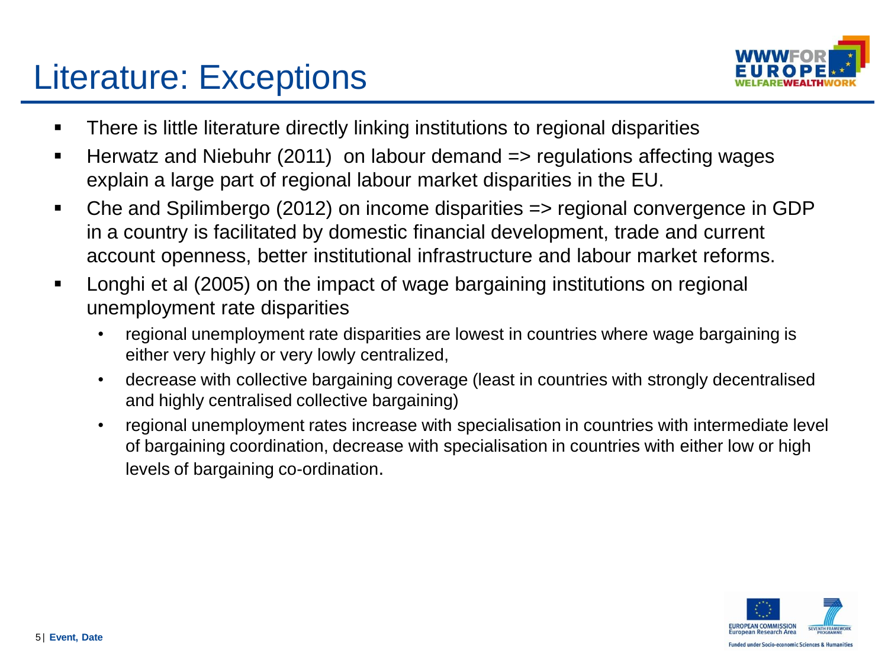### Literature: Exceptions



- **There is little literature directly linking institutions to regional disparities**
- Herwatz and Niebuhr (2011) on labour demand => regulations affecting wages explain a large part of regional labour market disparities in the EU.
- Che and Spilimbergo (2012) on income disparities => regional convergence in GDP in a country is facilitated by domestic financial development, trade and current account openness, better institutional infrastructure and labour market reforms.
- Longhi et al (2005) on the impact of wage bargaining institutions on regional unemployment rate disparities
	- regional unemployment rate disparities are lowest in countries where wage bargaining is either very highly or very lowly centralized,
	- decrease with collective bargaining coverage (least in countries with strongly decentralised and highly centralised collective bargaining)
	- regional unemployment rates increase with specialisation in countries with intermediate level of bargaining coordination, decrease with specialisation in countries with either low or high levels of bargaining co-ordination.

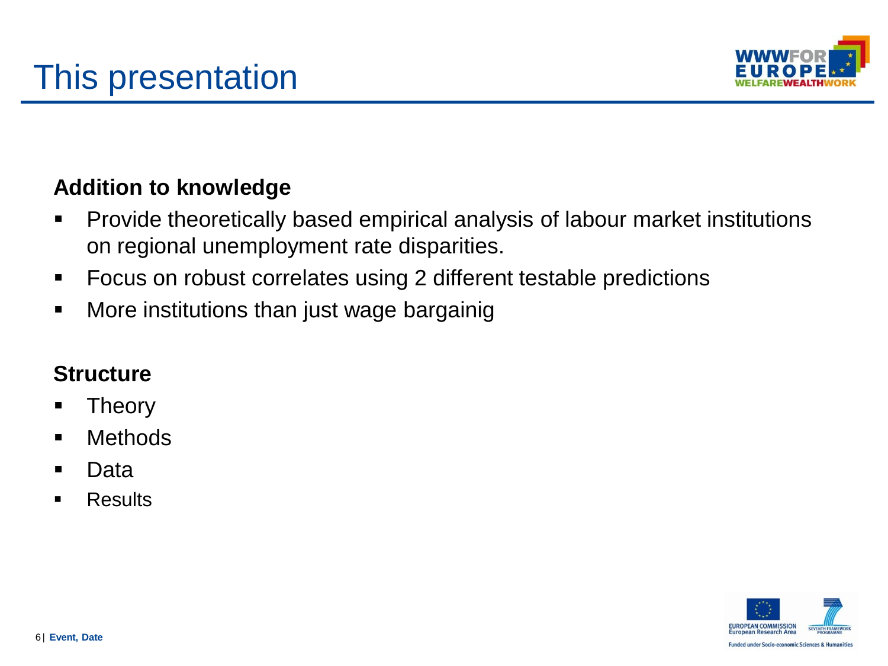

#### **Addition to knowledge**

- Provide theoretically based empirical analysis of labour market institutions on regional unemployment rate disparities.
- Focus on robust correlates using 2 different testable predictions
- **More institutions than just wage bargainig**

#### **Structure**

- **Theory**
- **•** Methods
- Data
- **Results**

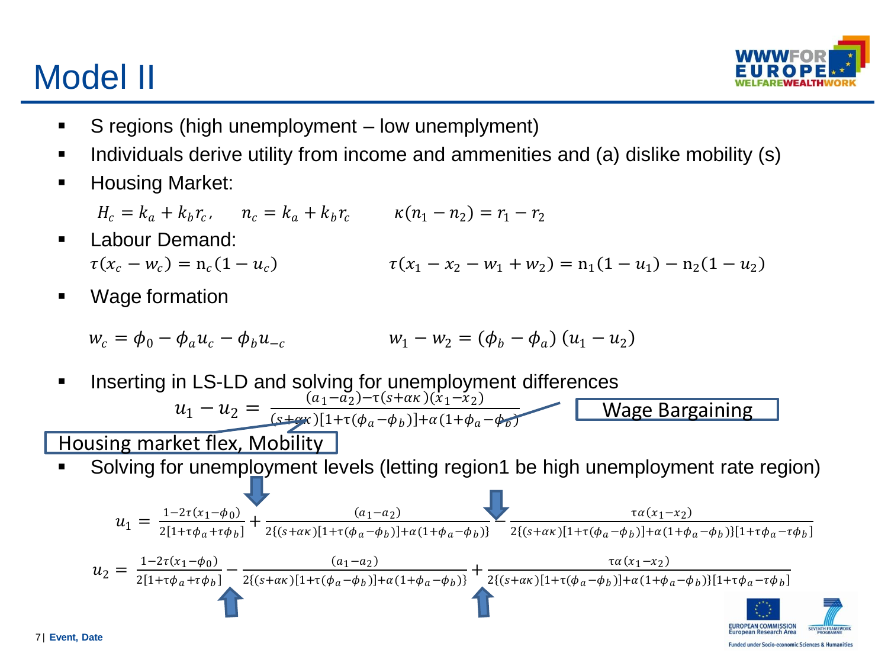# Model II



- S regions (high unemployment low unemplyment)
- Individuals derive utility from income and ammenities and (a) dislike mobility (s)
- **-** Housing Market:
	- $H_c = k_a + k_b r_c$ ,  $n_c = k_a + k_b r_c$   $\kappa(n_1 n_2) = r_1 r_2$
- Labour Demand:  $\tau(x_c - w_c) = n_c(1 - u_c)$ 1  $\tau(x_1 - x_2 - w_1 + w_2) = n_1(1 - u_1) - n_2(1 - u_2)$
- Wage formation

$$
w_c = \phi_0 - \phi_a u_c - \phi_b u_{-c}
$$
 
$$
w_1 - w_2 = (\phi_b - \phi_a) (u_1 - u_2)
$$

**Inserting in LS-LD and solving for unemployment differences**  $u_1 - u_2 = \frac{(a_1 - a_2) - \tau(s + \alpha \kappa)(x_1 - x_2)}{(s + \alpha \kappa) [1 + \tau(\phi_1 - \phi_1)] + \alpha (1 + \phi_2)}$  $(\text{s+}c\kappa) [1+\tau(\phi_a-\phi_b)]+\alpha(1+\phi_a-\phi_b)$ Wage Bargaining

Housing market flex, Mobility

Solving for unemployment levels (letting region1 be high unemployment rate region)

$$
u_{1} = \frac{1 - 2\tau(x_{1} - \phi_{0})}{2[1 + \tau\phi_{a} + \tau\phi_{b}]} + \frac{(a_{1} - a_{2})}{2[(s + \alpha\kappa)[1 + \tau(\phi_{a} - \phi_{b})] + \alpha(1 + \phi_{a} - \phi_{b})]} - \frac{(a_{1} - a_{2})}{2[(s + \alpha\kappa)[1 + \tau(\phi_{a} - \phi_{b})]} + \frac{\tau a(x_{1} - x_{2})}{2[(s + \alpha\kappa)[1 + \tau(\phi_{a} - \phi_{b})] + \alpha(1 + \phi_{a} - \phi_{b})][1 + \tau\phi_{a} - \tau\phi_{b}]}
$$
\n
$$
u_{2} = \frac{1 - 2\tau(x_{1} - \phi_{0})}{2[1 + \tau\phi_{a} + \tau\phi_{b}]} - \frac{(a_{1} - a_{2})}{2[(s + \alpha\kappa)[1 + \tau(\phi_{a} - \phi_{b})]} + \frac{\tau a(x_{1} - x_{2})}{2[(s + \alpha\kappa)[1 + \tau(\phi_{a} - \phi_{b})] + \alpha(1 + \phi_{a} - \phi_{b})][1 + \tau\phi_{a} - \tau\phi_{b}]}
$$
\n
$$
u_{2} = \frac{1 - 2\tau(x_{1} - \phi_{0})}{2[1 + \tau\phi_{a} + \tau\phi_{b}]} - \frac{(a_{1} - a_{2})}{2[(s + \alpha\kappa)[1 + \tau(\phi_{a} - \phi_{b})]} + \frac{\tau a(x_{1} - x_{2})}{2[(s + \alpha\kappa)[1 + \tau(\phi_{a} - \phi_{b})] + \alpha(1 + \phi_{a} - \phi_{b})][1 + \tau\phi_{a} - \tau\phi_{b}]}
$$
\n
$$
u_{2} = \frac{1 - 2\tau(x_{1} - \phi_{0})}{2[1 + \tau\phi_{a} + \tau\phi_{b}]} - \frac{(a_{1} - a_{2})}{2[(s + \alpha\kappa)[1 + \tau(\phi_{a} - \phi_{b})]} + \frac{\tau a(x_{1} - x_{2})}{2[(s + \alpha\kappa)[1 + \tau(\phi_{a} - \phi_{b})] + \alpha(1 + \phi_{a} - \phi_{b})][1 + \tau\phi_{a} - \tau\phi_{b}]}
$$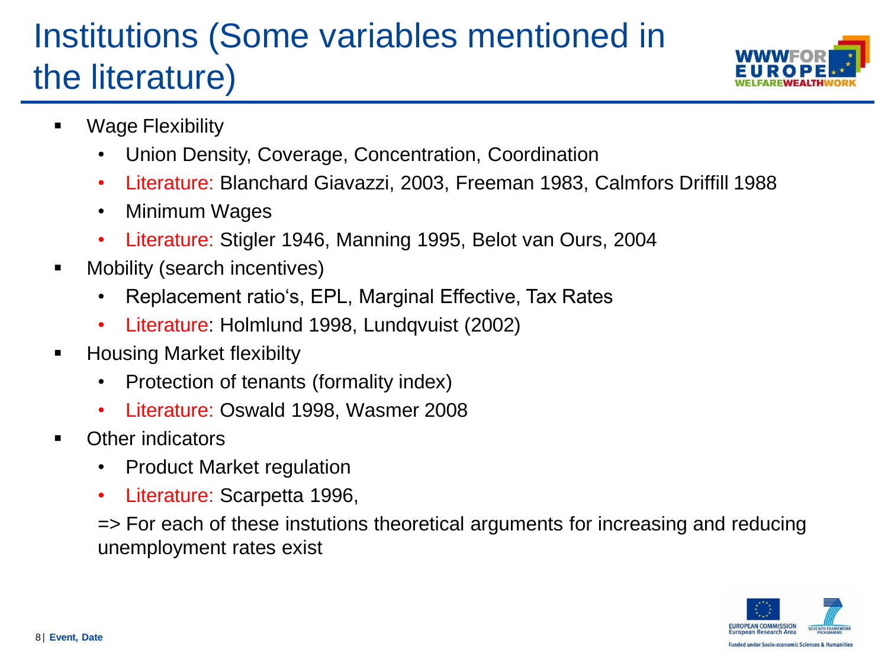# Institutions (Some variables mentioned in the literature)



- **•** Wage Flexibility
	- Union Density, Coverage, Concentration, Coordination
	- Literature: Blanchard Giavazzi, 2003, Freeman 1983, Calmfors Driffill 1988
	- Minimum Wages
	- Literature: Stigler 1946, Manning 1995, Belot van Ours, 2004
- **Nobility (search incentives)** 
	- Replacement ratio's, EPL, Marginal Effective, Tax Rates
	- Literature: Holmlund 1998, Lundqvuist (2002)
- **Housing Market flexibilty** 
	- Protection of tenants (formality index)
	- Literature: Oswald 1998, Wasmer 2008
- Other indicators
	- Product Market regulation
	- Literature: Scarpetta 1996,

=> For each of these instutions theoretical arguments for increasing and reducing unemployment rates exist

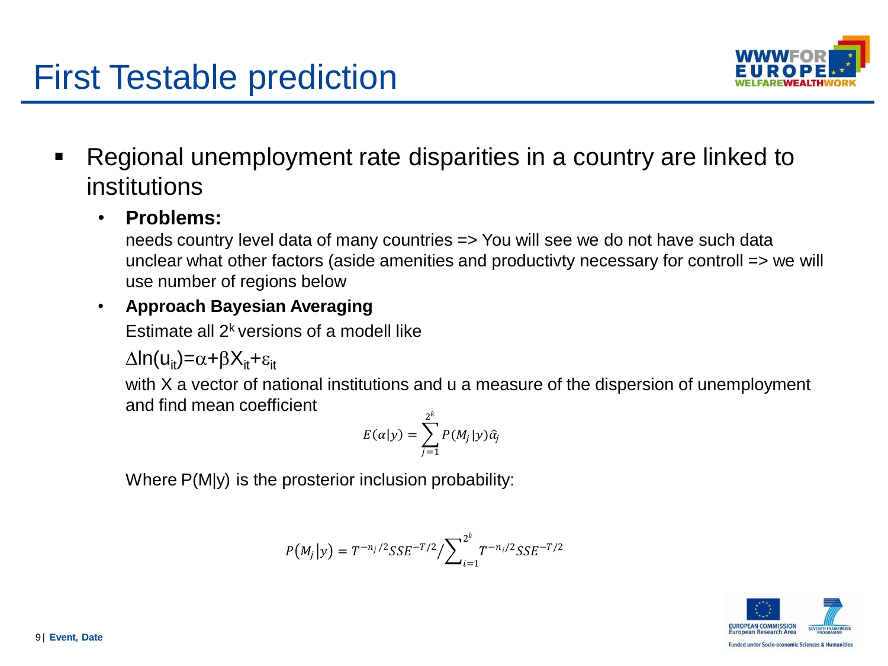### First Testable prediction



 Regional unemployment rate disparities in a country are linked to institutions

#### • **Problems:**

needs country level data of many countries => You will see we do not have such data unclear what other factors (aside amenities and productivty necessary for controll => we will use number of regions below

#### • **Approach Bayesian Averaging**

Estimate all  $2<sup>k</sup>$  versions of a modell like

 $\Delta$ ln(u<sub>it</sub>)= $\alpha$ + $\beta$ X<sub>it</sub>+ $\varepsilon$ <sub>it</sub>

with X a vector of national institutions and u a measure of the dispersion of unemployment and find mean coefficient

$$
E(\alpha|y) = \sum_{j=1}^{2^k} P(M_j|y)\hat{\alpha}_j
$$

Where P(M|y) is the prosterior inclusion probability:

$$
P(M_j|y) = T^{-n_j/2} SSE^{-T/2} / \sum_{i=1}^{2^k} T^{-n_i/2} SSE^{-T/2}
$$

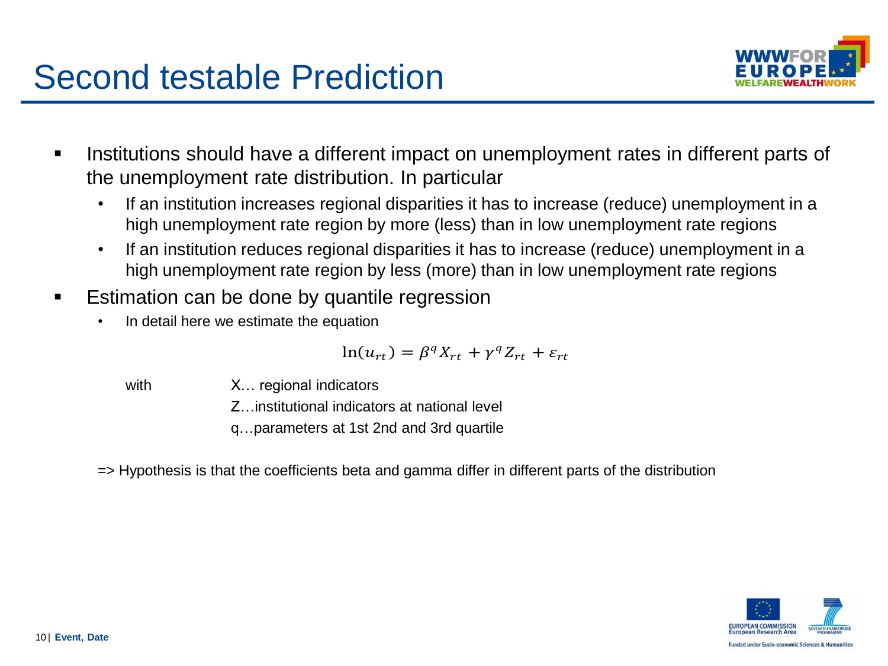### Second testable Prediction



- Institutions should have a different impact on unemployment rates in different parts of the unemployment rate distribution. In particular
	- If an institution increases regional disparities it has to increase (reduce) unemployment in a high unemployment rate region by more (less) than in low unemployment rate regions
	- If an institution reduces regional disparities it has to increase (reduce) unemployment in a high unemployment rate region by less (more) than in low unemployment rate regions
- **Example 1** Estimation can be done by quantile regression
	- In detail here we estimate the equation

$$
\ln(u_{rt}) = \beta^q X_{rt} + \gamma^q Z_{rt} + \varepsilon_{rt}
$$

with X... regional indicators

Z…institutional indicators at national level

q…parameters at 1st 2nd and 3rd quartile

=> Hypothesis is that the coefficients beta and gamma differ in different parts of the distribution

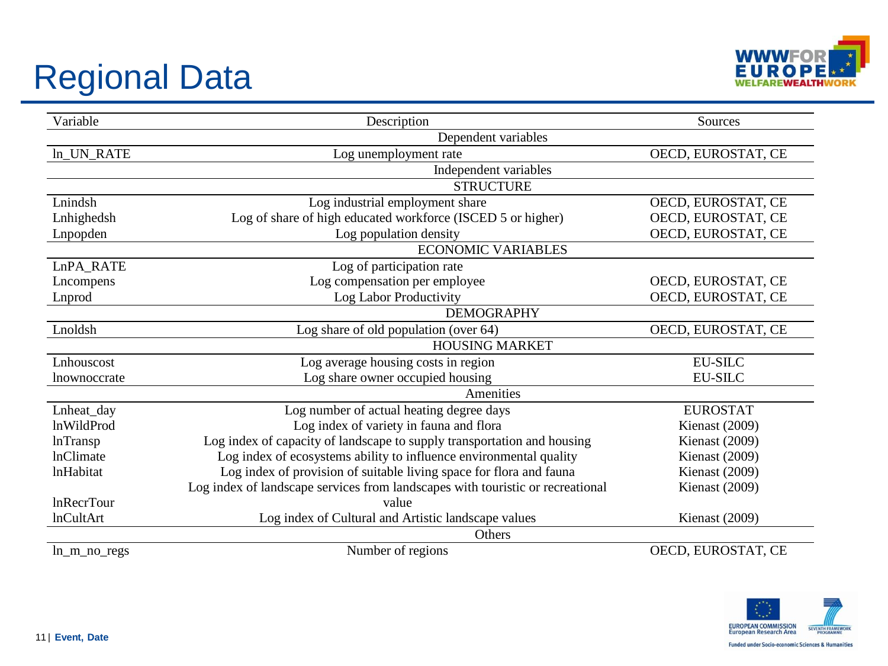# Regional Data



| Variable                                         | Description                                                                    | Sources            |  |  |  |  |  |  |
|--------------------------------------------------|--------------------------------------------------------------------------------|--------------------|--|--|--|--|--|--|
|                                                  | Dependent variables                                                            |                    |  |  |  |  |  |  |
| ln_UN_RATE                                       | Log unemployment rate                                                          | OECD, EUROSTAT, CE |  |  |  |  |  |  |
|                                                  |                                                                                |                    |  |  |  |  |  |  |
|                                                  | <b>STRUCTURE</b>                                                               |                    |  |  |  |  |  |  |
| Lnindsh                                          | Log industrial employment share                                                | OECD, EUROSTAT, CE |  |  |  |  |  |  |
| Lnhighedsh                                       | Log of share of high educated workforce (ISCED 5 or higher)                    | OECD, EUROSTAT, CE |  |  |  |  |  |  |
| Lnpopden                                         | Log population density                                                         | OECD, EUROSTAT, CE |  |  |  |  |  |  |
|                                                  |                                                                                |                    |  |  |  |  |  |  |
| LnPA_RATE                                        | Log of participation rate                                                      |                    |  |  |  |  |  |  |
| Lncompens                                        | Log compensation per employee                                                  | OECD, EUROSTAT, CE |  |  |  |  |  |  |
| Lnprod                                           | Log Labor Productivity                                                         | OECD, EUROSTAT, CE |  |  |  |  |  |  |
|                                                  | <b>DEMOGRAPHY</b>                                                              |                    |  |  |  |  |  |  |
| Lnoldsh                                          | Log share of old population (over 64)                                          |                    |  |  |  |  |  |  |
|                                                  |                                                                                |                    |  |  |  |  |  |  |
| Lnhouscost                                       | Log average housing costs in region                                            | <b>EU-SILC</b>     |  |  |  |  |  |  |
| Log share owner occupied housing<br>Inownoccrate |                                                                                | <b>EU-SILC</b>     |  |  |  |  |  |  |
|                                                  |                                                                                |                    |  |  |  |  |  |  |
| Lnheat_day                                       | Log number of actual heating degree days                                       | <b>EUROSTAT</b>    |  |  |  |  |  |  |
| <b>lnWildProd</b>                                | Log index of variety in fauna and flora                                        | Kienast (2009)     |  |  |  |  |  |  |
| <b>lnTransp</b>                                  | Log index of capacity of landscape to supply transportation and housing        | Kienast (2009)     |  |  |  |  |  |  |
| <b>lnClimate</b>                                 | Log index of ecosystems ability to influence environmental quality             | Kienast (2009)     |  |  |  |  |  |  |
| <i>InHabitat</i>                                 | Log index of provision of suitable living space for flora and fauna            | Kienast (2009)     |  |  |  |  |  |  |
|                                                  | Log index of landscape services from landscapes with touristic or recreational | Kienast (2009)     |  |  |  |  |  |  |
| <b>InRecrTour</b>                                | value                                                                          |                    |  |  |  |  |  |  |
| <b>lnCultArt</b>                                 | Log index of Cultural and Artistic landscape values                            | Kienast (2009)     |  |  |  |  |  |  |
|                                                  | Others                                                                         |                    |  |  |  |  |  |  |
| $ln_m$ no regs                                   | Number of regions                                                              | OECD, EUROSTAT, CE |  |  |  |  |  |  |

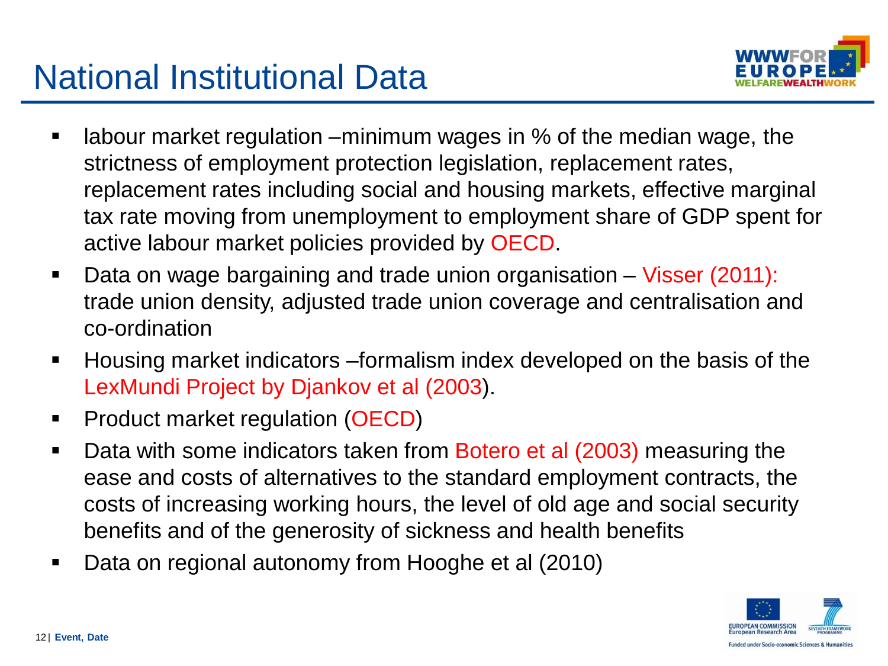### National Institutional Data



- labour market regulation –minimum wages in % of the median wage, the strictness of employment protection legislation, replacement rates, replacement rates including social and housing markets, effective marginal tax rate moving from unemployment to employment share of GDP spent for active labour market policies provided by OECD.
- Data on wage bargaining and trade union organisation Visser (2011): trade union density, adjusted trade union coverage and centralisation and co-ordination
- Housing market indicators –formalism index developed on the basis of the LexMundi Project by Djankov et al (2003).
- **Product market regulation (OECD)**
- Data with some indicators taken from Botero et al (2003) measuring the ease and costs of alternatives to the standard employment contracts, the costs of increasing working hours, the level of old age and social security benefits and of the generosity of sickness and health benefits
- Data on regional autonomy from Hooghe et al (2010)

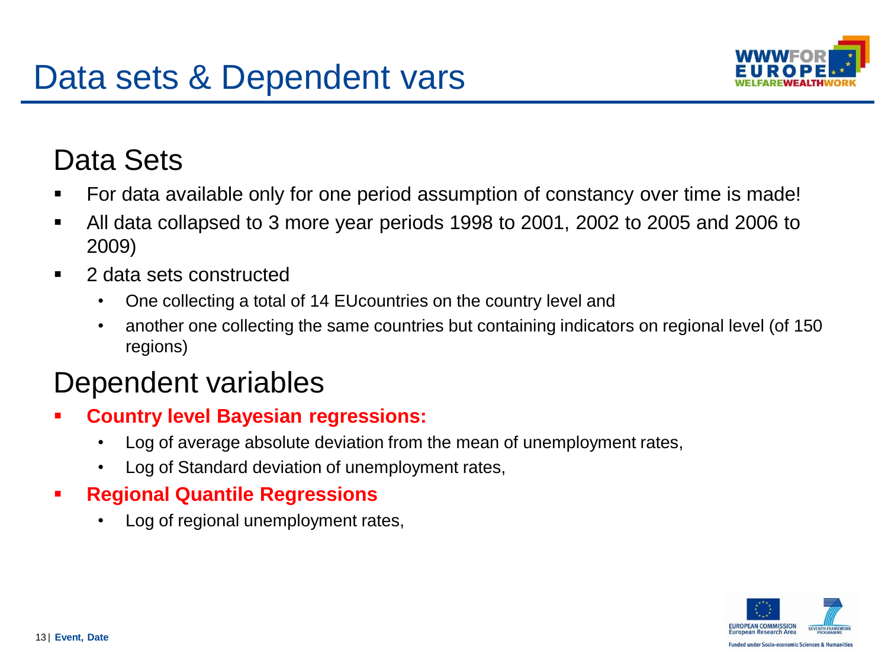

### Data Sets

- For data available only for one period assumption of constancy over time is made!
- All data collapsed to 3 more year periods 1998 to 2001, 2002 to 2005 and 2006 to 2009)
- 2 data sets constructed
	- One collecting a total of 14 EUcountries on the country level and
	- another one collecting the same countries but containing indicators on regional level (of 150 regions)

### Dependent variables

- **Country level Bayesian regressions:** 
	- Log of average absolute deviation from the mean of unemployment rates,
	- Log of Standard deviation of unemployment rates,
- **Regional Quantile Regressions**
	- Log of regional unemployment rates,

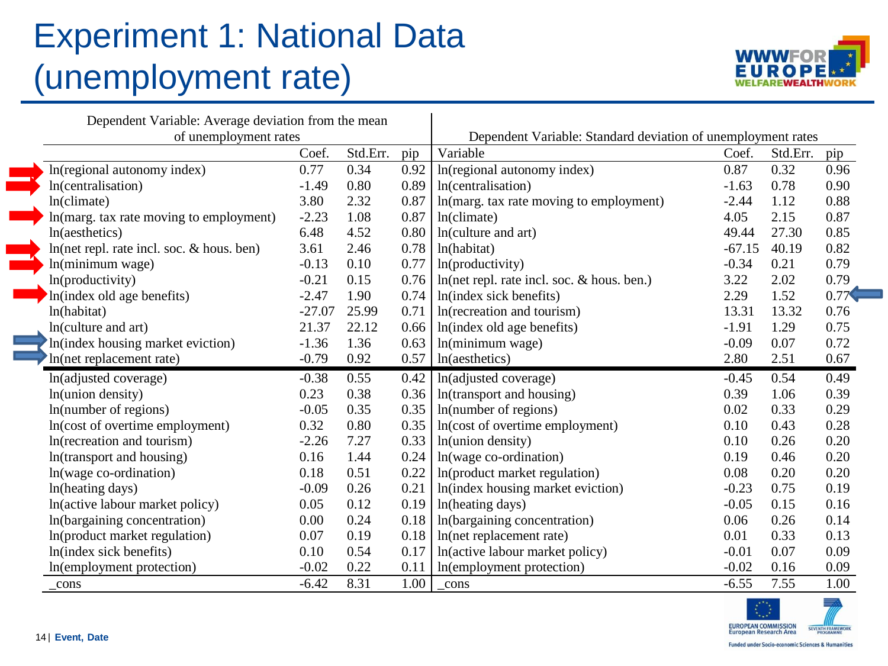## Experiment 1: National Data (unemployment rate)



| Dependent Variable: Average deviation from the mean |          |       |      | Dependent Variable: Standard deviation of unemployment rates |          |       |      |  |  |  |
|-----------------------------------------------------|----------|-------|------|--------------------------------------------------------------|----------|-------|------|--|--|--|
| of unemployment rates<br>Coef.<br>Std.Err.          |          |       |      | Variable                                                     | Std.Err. |       |      |  |  |  |
|                                                     |          |       | pip  |                                                              | Coef.    |       | pip  |  |  |  |
| In(regional autonomy index)                         | 0.77     | 0.34  | 0.92 | In(regional autonomy index)                                  | 0.87     | 0.32  | 0.96 |  |  |  |
| In(centralisation)                                  | $-1.49$  | 0.80  | 0.89 | In(centralisation)                                           | $-1.63$  | 0.78  | 0.90 |  |  |  |
| $ln($ climate $)$                                   | 3.80     | 2.32  | 0.87 | In(marg. tax rate moving to employment)                      | $-2.44$  | 1.12  | 0.88 |  |  |  |
| In(marg. tax rate moving to employment)             | $-2.23$  | 1.08  | 0.87 | ln(climate)                                                  | 4.05     | 2.15  | 0.87 |  |  |  |
| ln(aesthetics)                                      | 6.48     | 4.52  | 0.80 | In(culture and art)                                          | 49.44    | 27.30 | 0.85 |  |  |  |
| ln(net repl. rate incl. soc. & hous. ben)           | 3.61     | 2.46  | 0.78 | ln(habitat)                                                  | $-67.15$ | 40.19 | 0.82 |  |  |  |
| ln(minimum wage)                                    | $-0.13$  | 0.10  | 0.77 | ln(productivity)                                             | $-0.34$  | 0.21  | 0.79 |  |  |  |
| ln(productivity)                                    | $-0.21$  | 0.15  | 0.76 | ln(net repl. rate incl. soc. & hous. ben.)                   | 3.22     | 2.02  | 0.79 |  |  |  |
| In(index old age benefits)                          | $-2.47$  | 1.90  | 0.74 | In(index sick benefits)                                      | 2.29     | 1.52  | 0.77 |  |  |  |
| ln(habitat)                                         | $-27.07$ | 25.99 | 0.71 | In(recreation and tourism)                                   | 13.31    | 13.32 | 0.76 |  |  |  |
| ln(culture and art)                                 | 21.37    | 22.12 | 0.66 | In(index old age benefits)                                   | $-1.91$  | 1.29  | 0.75 |  |  |  |
| In(index housing market eviction)                   | $-1.36$  | 1.36  | 0.63 | ln(minimum wage)                                             | $-0.09$  | 0.07  | 0.72 |  |  |  |
| In(net replacement rate)                            | $-0.79$  | 0.92  | 0.57 | ln(aesthetics)                                               | 2.80     | 2.51  | 0.67 |  |  |  |
| In(adjusted coverage)                               | $-0.38$  | 0.55  | 0.42 | In(adjusted coverage)                                        | $-0.45$  | 0.54  | 0.49 |  |  |  |
| ln(union density)                                   | 0.23     | 0.38  | 0.36 | In(transport and housing)                                    | 0.39     | 1.06  | 0.39 |  |  |  |
| In(number of regions)                               | $-0.05$  | 0.35  | 0.35 | In(number of regions)                                        | 0.02     | 0.33  | 0.29 |  |  |  |
| In(cost of overtime employment)                     | 0.32     | 0.80  | 0.35 | In(cost of overtime employment)                              | 0.10     | 0.43  | 0.28 |  |  |  |
| In(recreation and tourism)                          | $-2.26$  | 7.27  | 0.33 | In(union density)                                            | 0.10     | 0.26  | 0.20 |  |  |  |
| In(transport and housing)                           | 0.16     | 1.44  | 0.24 | ln(wage co-ordination)                                       | 0.19     | 0.46  | 0.20 |  |  |  |
| ln(wage co-ordination)                              | 0.18     | 0.51  | 0.22 | In(product market regulation)                                | 0.08     | 0.20  | 0.20 |  |  |  |
| In(heating days)                                    | $-0.09$  | 0.26  | 0.21 | In(index housing market eviction)                            | $-0.23$  | 0.75  | 0.19 |  |  |  |
| In(active labour market policy)                     | 0.05     | 0.12  | 0.19 | In(heating days)                                             | $-0.05$  | 0.15  | 0.16 |  |  |  |
| In(bargaining concentration)                        | 0.00     | 0.24  | 0.18 | In(bargaining concentration)                                 | 0.06     | 0.26  | 0.14 |  |  |  |
| In(product market regulation)                       | 0.07     | 0.19  | 0.18 | In(net replacement rate)                                     | 0.01     | 0.33  | 0.13 |  |  |  |
| In(index sick benefits)                             | 0.10     | 0.54  | 0.17 | In(active labour market policy)                              | $-0.01$  | 0.07  | 0.09 |  |  |  |
| In(employment protection)                           | $-0.02$  | 0.22  | 0.11 | In(employment protection)                                    | $-0.02$  | 0.16  | 0.09 |  |  |  |
| _cons                                               | $-6.42$  | 8.31  | 1.00 | cons                                                         | $-6.55$  | 7.55  | 1.00 |  |  |  |

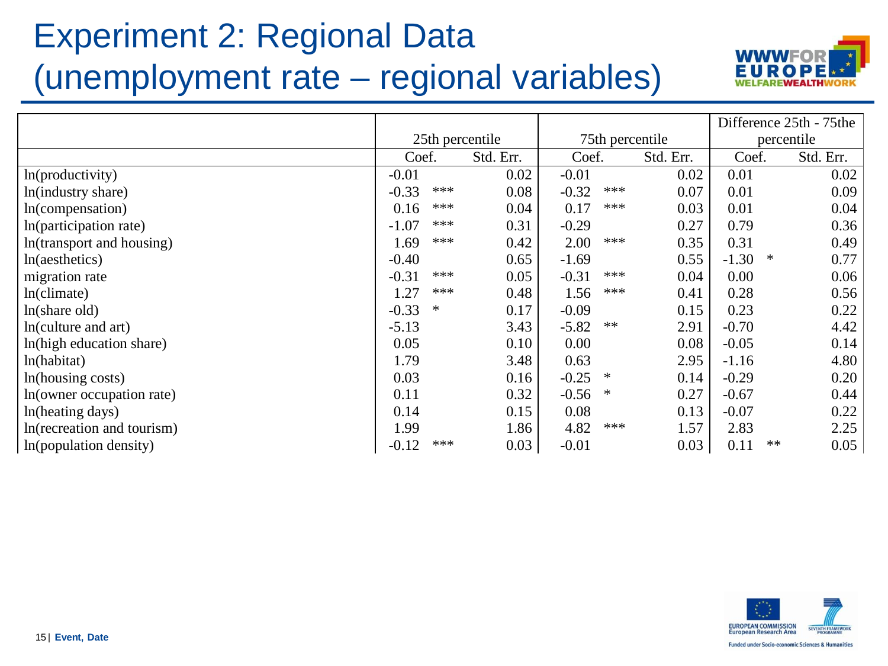## Experiment 2: Regional Data (unemployment rate – regional variables)



|                            |                   |                 |                 |            |         |    | Difference 25th - 75the |
|----------------------------|-------------------|-----------------|-----------------|------------|---------|----|-------------------------|
|                            |                   | 25th percentile | 75th percentile | percentile |         |    |                         |
|                            | Coef.             | Std. Err.       | Coef.           | Std. Err.  | Coef.   |    | Std. Err.               |
| ln(producityity)           | $-0.01$           | 0.02            | $-0.01$         | 0.02       | 0.01    |    | 0.02                    |
| In(industry share)         | ***<br>$-0.33$    | 0.08            | $-0.32$<br>***  | 0.07       | 0.01    |    | 0.09                    |
| In(compensation)           | ***<br>0.16       | 0.04            | 0.17<br>***     | 0.03       | 0.01    |    | 0.04                    |
| In(participation rate)     | ***<br>$-1.07$    | 0.31            | $-0.29$         | 0.27       | 0.79    |    | 0.36                    |
| In(transport and housing)  | ***<br>1.69       | 0.42            | 2.00<br>***     | 0.35       | 0.31    |    | 0.49                    |
| ln(aesthetics)             | $-0.40$           | 0.65            | $-1.69$         | 0.55       | $-1.30$ | ∗  | 0.77                    |
| migration rate             | ***<br>$-0.31$    | 0.05            | $-0.31$<br>***  | 0.04       | 0.00    |    | 0.06                    |
| $ln($ climate $)$          | ***<br>1.27       | 0.48            | 1.56<br>***     | 0.41       | 0.28    |    | 0.56                    |
| $ln(s)$ hare old)          | $-0.33$<br>$\ast$ | 0.17            | $-0.09$         | 0.15       | 0.23    |    | 0.22                    |
| In(culture and art)        | $-5.13$           | 3.43            | $-5.82$<br>**   | 2.91       | $-0.70$ |    | 4.42                    |
| In(high education share)   | 0.05              | 0.10            | 0.00            | 0.08       | $-0.05$ |    | 0.14                    |
| ln(habitat)                | 1.79              | 3.48            | 0.63            | 2.95       | $-1.16$ |    | 4.80                    |
| In(housing costs)          | 0.03              | 0.16            | $-0.25$<br>∗    | 0.14       | $-0.29$ |    | 0.20                    |
| In(owner occupation rate)  | 0.11              | 0.32            | $-0.56$<br>∗    | 0.27       | $-0.67$ |    | 0.44                    |
| In(heating days)           | 0.14              | 0.15            | 0.08            | 0.13       | $-0.07$ |    | 0.22                    |
| In(recreation and tourism) | 1.99              | 1.86            | 4.82<br>***     | 1.57       | 2.83    |    | 2.25                    |
| In(population density)     | ***<br>$-0.12$    | 0.03            | $-0.01$         | 0.03       | 0.11    | ** | 0.05                    |

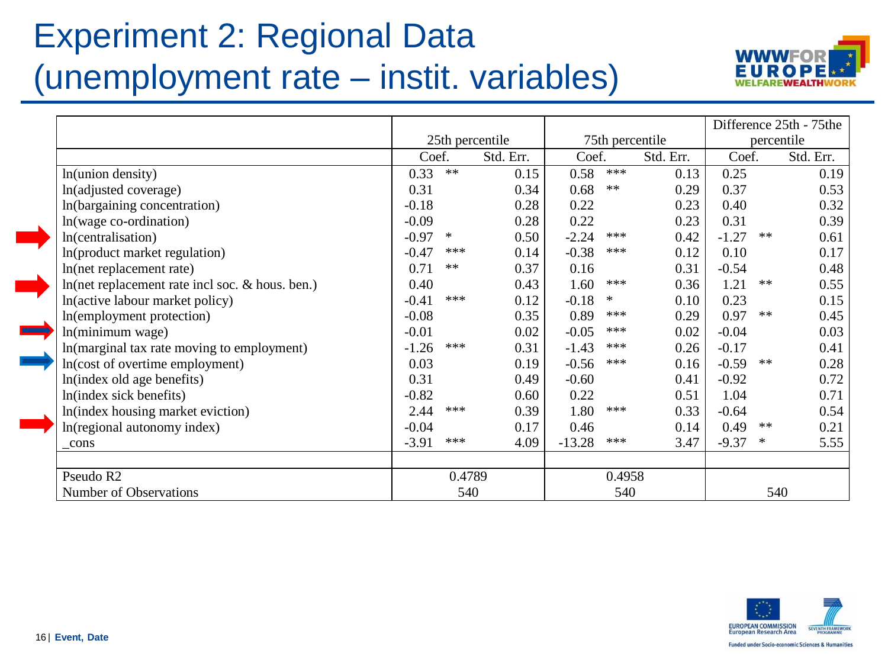## Experiment 2: Regional Data (unemployment rate – instit. variables)



|                                                 |                    |                 |          |        |           |            | Difference 25th - 75the |           |
|-------------------------------------------------|--------------------|-----------------|----------|--------|-----------|------------|-------------------------|-----------|
|                                                 | 25th percentile    | 75th percentile |          |        |           | percentile |                         |           |
|                                                 | Coef.              | Std. Err.       | Coef.    |        | Std. Err. | Coef.      |                         | Std. Err. |
| In(union density)                               | $\ast\ast$<br>0.33 | 0.15            | 0.58     | ***    | 0.13      | 0.25       |                         | 0.19      |
| In(adjusted coverage)                           | 0.31               | 0.34            | 0.68     | $**$   | 0.29      | 0.37       |                         | 0.53      |
| In(bargaining concentration)                    | $-0.18$            | 0.28            | 0.22     |        | 0.23      | 0.40       |                         | 0.32      |
| In(wage co-ordination)                          | $-0.09$            | 0.28            | 0.22     |        | 0.23      | 0.31       |                         | 0.39      |
| In(centralisation)                              | $-0.97$<br>$\ast$  | 0.50            | $-2.24$  | $***$  | 0.42      | $-1.27$    | $**$                    | 0.61      |
| In(product market regulation)                   | $-0.47$<br>$***$   | 0.14            | $-0.38$  | $***$  | 0.12      | 0.10       |                         | 0.17      |
| In(net replacement rate)                        | 0.71<br>$**$       | 0.37            | 0.16     |        | 0.31      | $-0.54$    |                         | 0.48      |
| In(net replacement rate incl soc. & hous. ben.) | 0.40               | 0.43            | 1.60     | $***$  | 0.36      | 1.21       | $\ast\ast$              | 0.55      |
| In(active labour market policy)                 | ***<br>$-0.41$     | 0.12            | $-0.18$  | $\ast$ | 0.10      | 0.23       |                         | 0.15      |
| In(employment protection)                       | $-0.08$            | 0.35            | 0.89     | ***    | 0.29      | 0.97       | $**$                    | 0.45      |
| ln(minimum wage)                                | $-0.01$            | 0.02            | $-0.05$  | $***$  | 0.02      | $-0.04$    |                         | 0.03      |
| In(marginal tax rate moving to employment)      | ***<br>$-1.26$     | 0.31            | $-1.43$  | $***$  | 0.26      | $-0.17$    |                         | 0.41      |
| In(cost of overtime employment)                 | 0.03               | 0.19            | $-0.56$  | ***    | 0.16      | $-0.59$    | $\ast\ast$              | 0.28      |
| In(index old age benefits)                      | 0.31               | 0.49            | $-0.60$  |        | 0.41      | $-0.92$    |                         | 0.72      |
| In(index sick benefits)                         | $-0.82$            | 0.60            | 0.22     |        | 0.51      | 1.04       |                         | 0.71      |
| In(index housing market eviction)               | 2.44<br>$***$      | 0.39            | 1.80     | $***$  | 0.33      | $-0.64$    |                         | 0.54      |
| In(regional autonomy index)                     | $-0.04$            | 0.17            | 0.46     |        | 0.14      | 0.49       | $**$                    | 0.21      |
| cons                                            | $-3.91$<br>$***$   | 4.09            | $-13.28$ | ***    | 3.47      | $-9.37$    | $\ast$                  | 5.55      |
| Pseudo R2                                       | 0.4789             |                 |          | 0.4958 |           |            |                         |           |
| Number of Observations                          | 540                |                 | 540      |        |           | 540        |                         |           |



 $\blacksquare$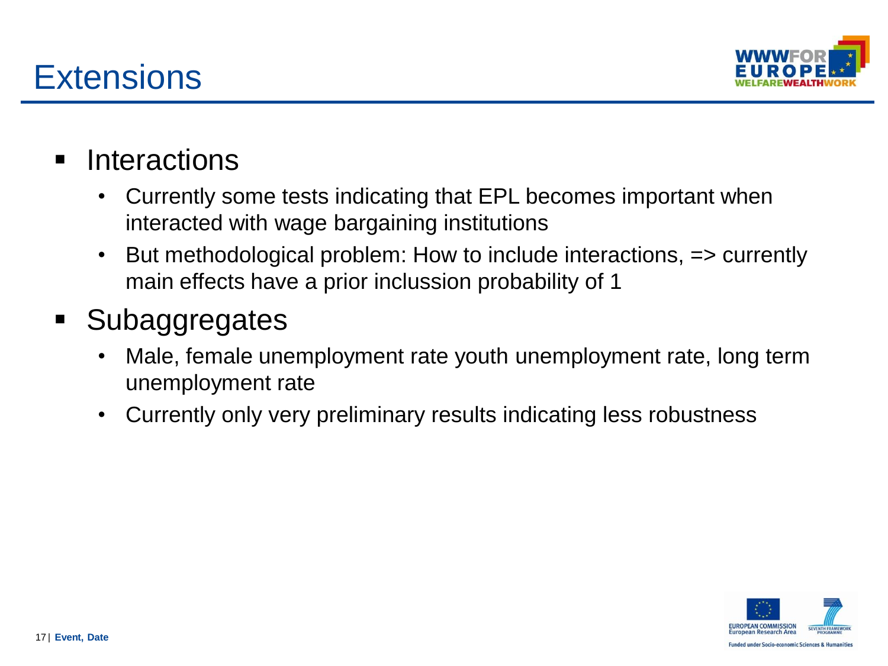



- **Interactions** 
	- Currently some tests indicating that EPL becomes important when interacted with wage bargaining institutions
	- But methodological problem: How to include interactions, => currently main effects have a prior inclussion probability of 1

### **Subaggregates**

- Male, female unemployment rate youth unemployment rate, long term unemployment rate
- Currently only very preliminary results indicating less robustness

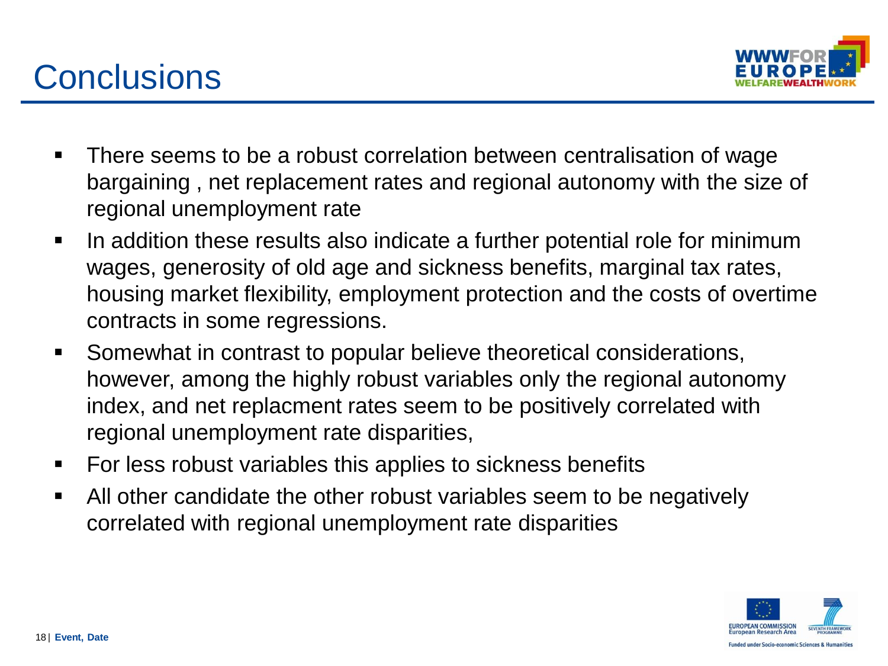



- There seems to be a robust correlation between centralisation of wage bargaining , net replacement rates and regional autonomy with the size of regional unemployment rate
- If an addition these results also indicate a further potential role for minimum wages, generosity of old age and sickness benefits, marginal tax rates, housing market flexibility, employment protection and the costs of overtime contracts in some regressions.
- Somewhat in contrast to popular believe theoretical considerations, however, among the highly robust variables only the regional autonomy index, and net replacment rates seem to be positively correlated with regional unemployment rate disparities,
- For less robust variables this applies to sickness benefits
- All other candidate the other robust variables seem to be negatively correlated with regional unemployment rate disparities